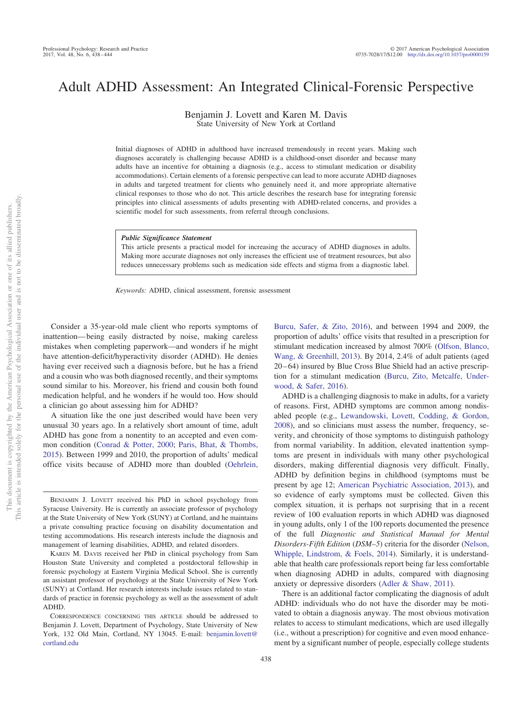# Adult ADHD Assessment: An Integrated Clinical-Forensic Perspective

Benjamin J. Lovett and Karen M. Davis State University of New York at Cortland

Initial diagnoses of ADHD in adulthood have increased tremendously in recent years. Making such diagnoses accurately is challenging because ADHD is a childhood-onset disorder and because many adults have an incentive for obtaining a diagnosis (e.g., access to stimulant medication or disability accommodations). Certain elements of a forensic perspective can lead to more accurate ADHD diagnoses in adults and targeted treatment for clients who genuinely need it, and more appropriate alternative clinical responses to those who do not. This article describes the research base for integrating forensic principles into clinical assessments of adults presenting with ADHD-related concerns, and provides a scientific model for such assessments, from referral through conclusions.

*Public Significance Statement*

This article presents a practical model for increasing the accuracy of ADHD diagnoses in adults. Making more accurate diagnoses not only increases the efficient use of treatment resources, but also reduces unnecessary problems such as medication side effects and stigma from a diagnostic label.

*Keywords:* ADHD, clinical assessment, forensic assessment

Consider a 35-year-old male client who reports symptoms of inattention— being easily distracted by noise, making careless mistakes when completing paperwork—and wonders if he might have attention-deficit/hyperactivity disorder (ADHD). He denies having ever received such a diagnosis before, but he has a friend and a cousin who was both diagnosed recently, and their symptoms sound similar to his. Moreover, his friend and cousin both found medication helpful, and he wonders if he would too. How should a clinician go about assessing him for ADHD?

A situation like the one just described would have been very unusual 30 years ago. In a relatively short amount of time, adult ADHD has gone from a nonentity to an accepted and even common condition [\(Conrad & Potter, 2000;](#page-5-0) [Paris, Bhat, & Thombs,](#page-6-0) [2015\)](#page-6-0). Between 1999 and 2010, the proportion of adults' medical office visits because of ADHD more than doubled [\(Oehrlein,](#page-6-1) [Burcu, Safer, & Zito, 2016\)](#page-6-1), and between 1994 and 2009, the proportion of adults' office visits that resulted in a prescription for stimulant medication increased by almost 700% [\(Olfson, Blanco,](#page-6-2) [Wang, & Greenhill, 2013\)](#page-6-2). By 2014, 2.4% of adult patients (aged 20 – 64) insured by Blue Cross Blue Shield had an active prescription for a stimulant medication [\(Burcu, Zito, Metcalfe, Under](#page-5-1)[wood, & Safer, 2016\)](#page-5-1).

ADHD is a challenging diagnosis to make in adults, for a variety of reasons. First, ADHD symptoms are common among nondisabled people (e.g., [Lewandowski, Lovett, Codding, & Gordon,](#page-6-3) [2008\)](#page-6-3), and so clinicians must assess the number, frequency, severity, and chronicity of those symptoms to distinguish pathology from normal variability. In addition, elevated inattention symptoms are present in individuals with many other psychological disorders, making differential diagnosis very difficult. Finally, ADHD by definition begins in childhood (symptoms must be present by age 12; [American Psychiatric Association, 2013\)](#page-5-2), and so evidence of early symptoms must be collected. Given this complex situation, it is perhaps not surprising that in a recent review of 100 evaluation reports in which ADHD was diagnosed in young adults, only 1 of the 100 reports documented the presence of the full *Diagnostic and Statistical Manual for Mental Disorders-Fifth Edition* (*DSM–5*) criteria for the disorder [\(Nelson,](#page-6-4) [Whipple, Lindstrom, & Foels, 2014\)](#page-6-4). Similarly, it is understandable that health care professionals report being far less comfortable when diagnosing ADHD in adults, compared with diagnosing anxiety or depressive disorders [\(Adler & Shaw, 2011\)](#page-5-3).

There is an additional factor complicating the diagnosis of adult ADHD: individuals who do not have the disorder may be motivated to obtain a diagnosis anyway. The most obvious motivation relates to access to stimulant medications, which are used illegally (i.e., without a prescription) for cognitive and even mood enhancement by a significant number of people, especially college students

BENJAMIN J. LOVETT received his PhD in school psychology from Syracuse University. He is currently an associate professor of psychology at the State University of New York (SUNY) at Cortland, and he maintains a private consulting practice focusing on disability documentation and testing accommodations. His research interests include the diagnosis and management of learning disabilities, ADHD, and related disorders.

KAREN M. DAVIS received her PhD in clinical psychology from Sam Houston State University and completed a postdoctoral fellowship in forensic psychology at Eastern Virginia Medical School. She is currently an assistant professor of psychology at the State University of New York (SUNY) at Cortland. Her research interests include issues related to standards of practice in forensic psychology as well as the assessment of adult ADHD.

CORRESPONDENCE CONCERNING THIS ARTICLE should be addressed to Benjamin J. Lovett, Department of Psychology, State University of New York, 132 Old Main, Cortland, NY 13045. E-mail: [benjamin.lovett@](mailto:benjamin.lovett@cortland.edu) [cortland.edu](mailto:benjamin.lovett@cortland.edu)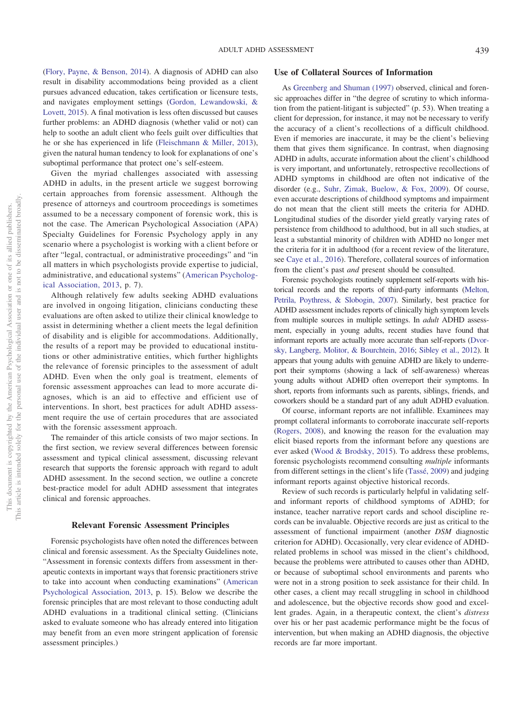[\(Flory, Payne, & Benson, 2014\)](#page-5-4). A diagnosis of ADHD can also result in disability accommodations being provided as a client pursues advanced education, takes certification or licensure tests, and navigates employment settings [\(Gordon, Lewandowski, &](#page-5-5) [Lovett, 2015\)](#page-5-5). A final motivation is less often discussed but causes further problems: an ADHD diagnosis (whether valid or not) can help to soothe an adult client who feels guilt over difficulties that he or she has experienced in life [\(Fleischmann & Miller, 2013\)](#page-5-6), given the natural human tendency to look for explanations of one's suboptimal performance that protect one's self-esteem.

Given the myriad challenges associated with assessing ADHD in adults, in the present article we suggest borrowing certain approaches from forensic assessment. Although the presence of attorneys and courtroom proceedings is sometimes assumed to be a necessary component of forensic work, this is not the case. The American Psychological Association (APA) Specialty Guidelines for Forensic Psychology apply in any scenario where a psychologist is working with a client before or after "legal, contractual, or administrative proceedings" and "in all matters in which psychologists provide expertise to judicial, administrative, and educational systems" [\(American Psycholog](#page-5-7)[ical Association, 2013,](#page-5-7) p. 7).

Although relatively few adults seeking ADHD evaluations are involved in ongoing litigation, clinicians conducting these evaluations are often asked to utilize their clinical knowledge to assist in determining whether a client meets the legal definition of disability and is eligible for accommodations. Additionally, the results of a report may be provided to educational institutions or other administrative entities, which further highlights the relevance of forensic principles to the assessment of adult ADHD. Even when the only goal is treatment, elements of forensic assessment approaches can lead to more accurate diagnoses, which is an aid to effective and efficient use of interventions. In short, best practices for adult ADHD assessment require the use of certain procedures that are associated with the forensic assessment approach.

The remainder of this article consists of two major sections. In the first section, we review several differences between forensic assessment and typical clinical assessment, discussing relevant research that supports the forensic approach with regard to adult ADHD assessment. In the second section, we outline a concrete best-practice model for adult ADHD assessment that integrates clinical and forensic approaches.

## **Relevant Forensic Assessment Principles**

Forensic psychologists have often noted the differences between clinical and forensic assessment. As the Specialty Guidelines note, "Assessment in forensic contexts differs from assessment in therapeutic contexts in important ways that forensic practitioners strive to take into account when conducting examinations" [\(American](#page-5-7) [Psychological Association, 2013,](#page-5-7) p. 15). Below we describe the forensic principles that are most relevant to those conducting adult ADHD evaluations in a traditional clinical setting. (Clinicians asked to evaluate someone who has already entered into litigation may benefit from an even more stringent application of forensic assessment principles.)

## **Use of Collateral Sources of Information**

As [Greenberg and Shuman \(1997\)](#page-5-8) observed, clinical and forensic approaches differ in "the degree of scrutiny to which information from the patient-litigant is subjected" (p. 53). When treating a client for depression, for instance, it may not be necessary to verify the accuracy of a client's recollections of a difficult childhood. Even if memories are inaccurate, it may be the client's believing them that gives them significance. In contrast, when diagnosing ADHD in adults, accurate information about the client's childhood is very important, and unfortunately, retrospective recollections of ADHD symptoms in childhood are often not indicative of the disorder (e.g., [Suhr, Zimak, Buelow, & Fox, 2009\)](#page-6-5). Of course, even accurate descriptions of childhood symptoms and impairment do not mean that the client still meets the criteria for ADHD. Longitudinal studies of the disorder yield greatly varying rates of persistence from childhood to adulthood, but in all such studies, at least a substantial minority of children with ADHD no longer met the criteria for it in adulthood (for a recent review of the literature, see [Caye et al., 2016\)](#page-5-9). Therefore, collateral sources of information from the client's past *and* present should be consulted.

Forensic psychologists routinely supplement self-reports with historical records and the reports of third-party informants [\(Melton,](#page-6-6) [Petrila, Poythress, & Slobogin, 2007\)](#page-6-6). Similarly, best practice for ADHD assessment includes reports of clinically high symptom levels from multiple sources in multiple settings. In *adult* ADHD assessment, especially in young adults, recent studies have found that informant reports are actually more accurate than self-reports [\(Dvor](#page-5-10)[sky, Langberg, Molitor, & Bourchtein, 2016;](#page-5-10) [Sibley et al., 2012\)](#page-6-7). It appears that young adults with genuine ADHD are likely to underreport their symptoms (showing a lack of self-awareness) whereas young adults without ADHD often overreport their symptoms. In short, reports from informants such as parents, siblings, friends, and coworkers should be a standard part of any adult ADHD evaluation.

Of course, informant reports are not infallible. Examinees may prompt collateral informants to corroborate inaccurate self-reports [\(Rogers, 2008\)](#page-6-8), and knowing the reason for the evaluation may elicit biased reports from the informant before any questions are ever asked [\(Wood & Brodsky, 2015\)](#page-6-9). To address these problems, forensic psychologists recommend consulting *multiple* informants from different settings in the client's life [\(Tassé, 2009\)](#page-6-10) and judging informant reports against objective historical records.

Review of such records is particularly helpful in validating selfand informant reports of childhood symptoms of ADHD; for instance, teacher narrative report cards and school discipline records can be invaluable. Objective records are just as critical to the assessment of functional impairment (another *DSM* diagnostic criterion for ADHD). Occasionally, very clear evidence of ADHDrelated problems in school was missed in the client's childhood, because the problems were attributed to causes other than ADHD, or because of suboptimal school environments and parents who were not in a strong position to seek assistance for their child. In other cases, a client may recall struggling in school in childhood and adolescence, but the objective records show good and excellent grades. Again, in a therapeutic context, the client's *distress* over his or her past academic performance might be the focus of intervention, but when making an ADHD diagnosis, the objective records are far more important.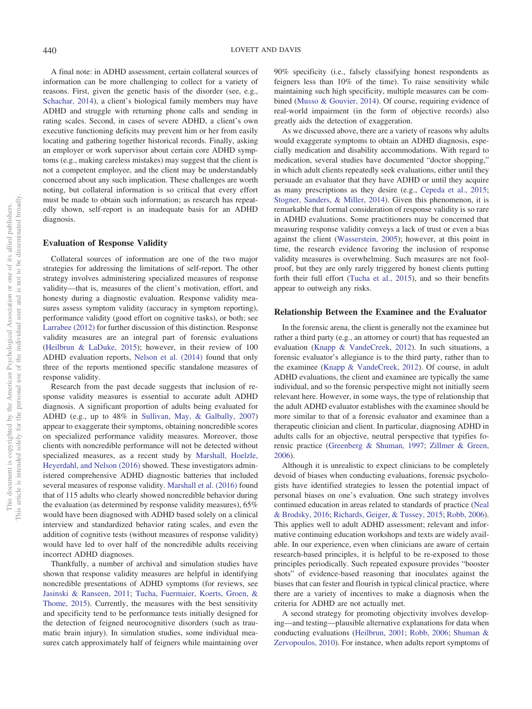A final note: in ADHD assessment, certain collateral sources of information can be more challenging to collect for a variety of reasons. First, given the genetic basis of the disorder (see, e.g., [Schachar, 2014\)](#page-6-11), a client's biological family members may have ADHD and struggle with returning phone calls and sending in rating scales. Second, in cases of severe ADHD, a client's own executive functioning deficits may prevent him or her from easily locating and gathering together historical records. Finally, asking an employer or work supervisor about certain core ADHD symptoms (e.g., making careless mistakes) may suggest that the client is not a competent employee, and the client may be understandably concerned about any such implication. These challenges are worth noting, but collateral information is so critical that every effort must be made to obtain such information; as research has repeatedly shown, self-report is an inadequate basis for an ADHD diagnosis.

## **Evaluation of Response Validity**

Collateral sources of information are one of the two major strategies for addressing the limitations of self-report. The other strategy involves administering specialized measures of response validity—that is, measures of the client's motivation, effort, and honesty during a diagnostic evaluation. Response validity measures assess symptom validity (accuracy in symptom reporting), performance validity (good effort on cognitive tasks), or both; see [Larrabee \(2012\)](#page-6-12) for further discussion of this distinction. Response validity measures are an integral part of forensic evaluations [\(Heilbrun & LaDuke, 2015\)](#page-5-11); however, in their review of 100 ADHD evaluation reports, [Nelson et al. \(2014\)](#page-6-4) found that only three of the reports mentioned specific standalone measures of response validity.

Research from the past decade suggests that inclusion of response validity measures is essential to accurate adult ADHD diagnosis. A significant proportion of adults being evaluated for ADHD (e.g., up to 48% in [Sullivan, May, & Galbally, 2007\)](#page-6-13) appear to exaggerate their symptoms, obtaining noncredible scores on specialized performance validity measures. Moreover, those clients with noncredible performance will not be detected without specialized measures, as a recent study by [Marshall, Hoelzle,](#page-6-14) [Heyerdahl, and Nelson \(2016\)](#page-6-14) showed. These investigators administered comprehensive ADHD diagnostic batteries that included several measures of response validity. [Marshall et al. \(2016\)](#page-6-14) found that of 115 adults who clearly showed noncredible behavior during the evaluation (as determined by response validity measures), 65% would have been diagnosed with ADHD based solely on a clinical interview and standardized behavior rating scales, and even the addition of cognitive tests (without measures of response validity) would have led to over half of the noncredible adults receiving incorrect ADHD diagnoses.

Thankfully, a number of archival and simulation studies have shown that response validity measures are helpful in identifying noncredible presentations of ADHD symptoms (for reviews, see [Jasinski & Ranseen, 2011;](#page-6-15) [Tucha, Fuermaier, Koerts, Groen, &](#page-6-16) [Thome, 2015\)](#page-6-16). Currently, the measures with the best sensitivity and specificity tend to be performance tests initially designed for the detection of feigned neurocognitive disorders (such as traumatic brain injury). In simulation studies, some individual measures catch approximately half of feigners while maintaining over 90% specificity (i.e., falsely classifying honest respondents as feigners less than 10% of the time). To raise sensitivity while maintaining such high specificity, multiple measures can be combined [\(Musso & Gouvier, 2014\)](#page-6-17). Of course, requiring evidence of real-world impairment (in the form of objective records) also greatly aids the detection of exaggeration.

As we discussed above, there are a variety of reasons why adults would exaggerate symptoms to obtain an ADHD diagnosis, especially medication and disability accommodations. With regard to medication, several studies have documented "doctor shopping," in which adult clients repeatedly seek evaluations, either until they persuade an evaluator that they have ADHD or until they acquire as many prescriptions as they desire (e.g., [Cepeda et al., 2015;](#page-5-12) [Stogner, Sanders, & Miller, 2014\)](#page-6-18). Given this phenomenon, it is remarkable that formal consideration of response validity is so rare in ADHD evaluations. Some practitioners may be concerned that measuring response validity conveys a lack of trust or even a bias against the client [\(Wasserstein, 2005\)](#page-6-19); however, at this point in time, the research evidence favoring the inclusion of response validity measures is overwhelming. Such measures are not foolproof, but they are only rarely triggered by honest clients putting forth their full effort [\(Tucha et al., 2015\)](#page-6-16), and so their benefits appear to outweigh any risks.

## **Relationship Between the Examinee and the Evaluator**

In the forensic arena, the client is generally not the examinee but rather a third party (e.g., an attorney or court) that has requested an evaluation [\(Knapp & VandeCreek, 2012\)](#page-6-20). In such situations, a forensic evaluator's allegiance is to the third party, rather than to the examinee [\(Knapp & VandeCreek, 2012\)](#page-6-20). Of course, in adult ADHD evaluations, the client and examinee are typically the same individual, and so the forensic perspective might not initially seem relevant here. However, in some ways, the type of relationship that the adult ADHD evaluator establishes with the examinee should be more similar to that of a forensic evaluator and examinee than a therapeutic clinician and client. In particular, diagnosing ADHD in adults calls for an objective, neutral perspective that typifies forensic practice [\(Greenberg & Shuman, 1997;](#page-5-8) [Zillmer & Green,](#page-6-21) [2006\)](#page-6-21).

Although it is unrealistic to expect clinicians to be completely devoid of biases when conducting evaluations, forensic psychologists have identified strategies to lessen the potential impact of personal biases on one's evaluation. One such strategy involves continued education in areas related to standards of practice [\(Neal](#page-6-22) [& Brodsky, 2016;](#page-6-22) [Richards, Geiger, & Tussey, 2015;](#page-6-23) [Robb, 2006\)](#page-6-24). This applies well to adult ADHD assessment; relevant and informative continuing education workshops and texts are widely available. In our experience, even when clinicians are aware of certain research-based principles, it is helpful to be re-exposed to those principles periodically. Such repeated exposure provides "booster shots" of evidence-based reasoning that inoculates against the biases that can fester and flourish in typical clinical practice, where there are a variety of incentives to make a diagnosis when the criteria for ADHD are not actually met.

A second strategy for promoting objectivity involves developing—and testing—plausible alternative explanations for data when conducting evaluations [\(Heilbrun, 2001;](#page-5-13) [Robb, 2006;](#page-6-24) [Shuman &](#page-6-25) [Zervopoulos, 2010\)](#page-6-25). For instance, when adults report symptoms of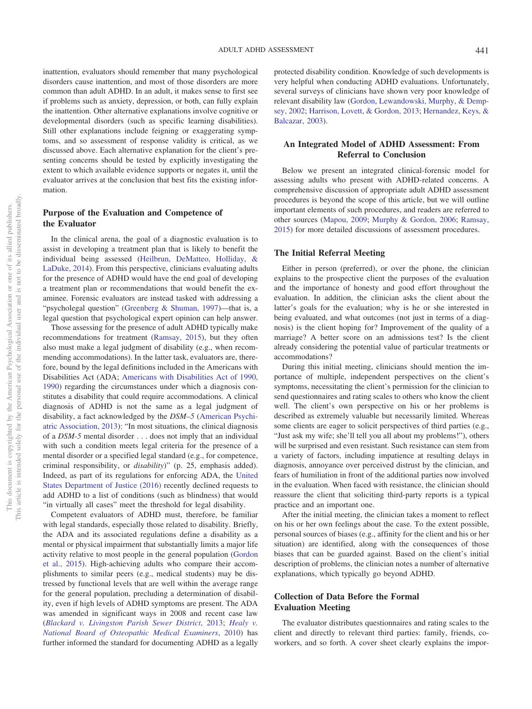inattention, evaluators should remember that many psychological disorders cause inattention, and most of those disorders are more common than adult ADHD. In an adult, it makes sense to first see if problems such as anxiety, depression, or both, can fully explain the inattention. Other alternative explanations involve cognitive or developmental disorders (such as specific learning disabilities). Still other explanations include feigning or exaggerating symptoms, and so assessment of response validity is critical, as we discussed above. Each alternative explanation for the client's presenting concerns should be tested by explicitly investigating the extent to which available evidence supports or negates it, until the evaluator arrives at the conclusion that best fits the existing information.

# **Purpose of the Evaluation and Competence of the Evaluator**

In the clinical arena, the goal of a diagnostic evaluation is to assist in developing a treatment plan that is likely to benefit the individual being assessed [\(Heilbrun, DeMatteo, Holliday, &](#page-5-14) [LaDuke, 2014\)](#page-5-14). From this perspective, clinicians evaluating adults for the presence of ADHD would have the end goal of developing a treatment plan or recommendations that would benefit the examinee. Forensic evaluators are instead tasked with addressing a "psycholegal question" [\(Greenberg & Shuman, 1997\)](#page-5-8)—that is, a legal question that psychological expert opinion can help answer.

Those assessing for the presence of adult ADHD typically make recommendations for treatment [\(Ramsay, 2015\)](#page-6-26), but they often also must make a legal judgment of disability (e.g., when recommending accommodations). In the latter task, evaluators are, therefore, bound by the legal definitions included in the Americans with Disabilities Act (ADA; [Americans with Disabilities Act of 1990,](#page-5-15) [1990\)](#page-5-15) regarding the circumstances under which a diagnosis constitutes a disability that could require accommodations. A clinical diagnosis of ADHD is not the same as a legal judgment of disability, a fact acknowledged by the *DSM–5* [\(American Psychi](#page-5-2)[atric Association, 2013\)](#page-5-2): "In most situations, the clinical diagnosis of a *DSM-5* mental disorder... does not imply that an individual with such a condition meets legal criteria for the presence of a mental disorder or a specified legal standard (e.g., for competence, criminal responsibility, or *disability*)" (p. 25, emphasis added). Indeed, as part of its regulations for enforcing ADA, the [United](#page-6-27) [States Department of Justice \(2016\)](#page-6-27) recently declined requests to add ADHD to a list of conditions (such as blindness) that would "in virtually all cases" meet the threshold for legal disability.

Competent evaluators of ADHD must, therefore, be familiar with legal standards, especially those related to disability. Briefly, the ADA and its associated regulations define a disability as a mental or physical impairment that substantially limits a major life activity relative to most people in the general population [\(Gordon](#page-5-5) [et al., 2015\)](#page-5-5). High-achieving adults who compare their accomplishments to similar peers (e.g., medical students) may be distressed by functional levels that are well within the average range for the general population, precluding a determination of disability, even if high levels of ADHD symptoms are present. The ADA was amended in significant ways in 2008 and recent case law (*[Blackard v. Livingston Parish Sewer District](#page-5-16)*, 2013; *[Healy v.](#page-5-17) [National Board of Osteopathic Medical Examiners](#page-5-17)*, 2010) has further informed the standard for documenting ADHD as a legally

protected disability condition. Knowledge of such developments is very helpful when conducting ADHD evaluations. Unfortunately, several surveys of clinicians have shown very poor knowledge of relevant disability law [\(Gordon, Lewandowski, Murphy, & Demp](#page-5-18)[sey, 2002;](#page-5-18) [Harrison, Lovett, & Gordon, 2013;](#page-5-19) [Hernandez, Keys, &](#page-6-28) [Balcazar, 2003\)](#page-6-28).

## **An Integrated Model of ADHD Assessment: From Referral to Conclusion**

Below we present an integrated clinical-forensic model for assessing adults who present with ADHD-related concerns. A comprehensive discussion of appropriate adult ADHD assessment procedures is beyond the scope of this article, but we will outline important elements of such procedures, and readers are referred to other sources [\(Mapou, 2009;](#page-6-29) [Murphy & Gordon, 2006;](#page-6-30) [Ramsay,](#page-6-26) [2015\)](#page-6-26) for more detailed discussions of assessment procedures.

## **The Initial Referral Meeting**

Either in person (preferred), or over the phone, the clinician explains to the prospective client the purposes of the evaluation and the importance of honesty and good effort throughout the evaluation. In addition, the clinician asks the client about the latter's goals for the evaluation; why is he or she interested in being evaluated, and what outcomes (not just in terms of a diagnosis) is the client hoping for? Improvement of the quality of a marriage? A better score on an admissions test? Is the client already considering the potential value of particular treatments or accommodations?

During this initial meeting, clinicians should mention the importance of multiple, independent perspectives on the client's symptoms, necessitating the client's permission for the clinician to send questionnaires and rating scales to others who know the client well. The client's own perspective on his or her problems is described as extremely valuable but necessarily limited. Whereas some clients are eager to solicit perspectives of third parties (e.g., "Just ask my wife; she'll tell you all about my problems!"), others will be surprised and even resistant. Such resistance can stem from a variety of factors, including impatience at resulting delays in diagnosis, annoyance over perceived distrust by the clinician, and fears of humiliation in front of the additional parties now involved in the evaluation. When faced with resistance, the clinician should reassure the client that soliciting third-party reports is a typical practice and an important one.

After the initial meeting, the clinician takes a moment to reflect on his or her own feelings about the case. To the extent possible, personal sources of biases (e.g., affinity for the client and his or her situation) are identified, along with the consequences of those biases that can be guarded against. Based on the client's initial description of problems, the clinician notes a number of alternative explanations, which typically go beyond ADHD.

# **Collection of Data Before the Formal Evaluation Meeting**

The evaluator distributes questionnaires and rating scales to the client and directly to relevant third parties: family, friends, coworkers, and so forth. A cover sheet clearly explains the impor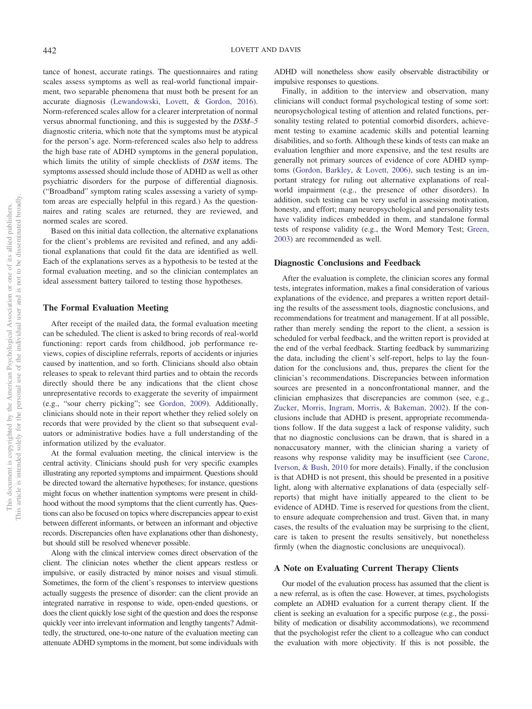tance of honest, accurate ratings. The questionnaires and rating scales assess symptoms as well as real-world functional impairment, two separable phenomena that must both be present for an accurate diagnosis [\(Lewandowski, Lovett, & Gordon, 2016\)](#page-6-31). Norm-referenced scales allow for a clearer interpretation of normal versus abnormal functioning, and this is suggested by the *DSM–5* diagnostic criteria, which note that the symptoms must be atypical for the person's age. Norm-referenced scales also help to address the high base rate of ADHD symptoms in the general population, which limits the utility of simple checklists of *DSM* items. The symptoms assessed should include those of ADHD as well as other psychiatric disorders for the purpose of differential diagnosis. ("Broadband" symptom rating scales assessing a variety of symptom areas are especially helpful in this regard.) As the questionnaires and rating scales are returned, they are reviewed, and normed scales are scored.

Based on this initial data collection, the alternative explanations for the client's problems are revisited and refined, and any additional explanations that could fit the data are identified as well. Each of the explanations serves as a hypothesis to be tested at the formal evaluation meeting, and so the clinician contemplates an ideal assessment battery tailored to testing those hypotheses.

## **The Formal Evaluation Meeting**

After receipt of the mailed data, the formal evaluation meeting can be scheduled. The client is asked to bring records of real-world functioning: report cards from childhood, job performance reviews, copies of discipline referrals, reports of accidents or injuries caused by inattention, and so forth. Clinicians should also obtain releases to speak to relevant third parties and to obtain the records directly should there be any indications that the client chose unrepresentative records to exaggerate the severity of impairment (e.g., "sour cherry picking"; see [Gordon, 2009\)](#page-5-20). Additionally, clinicians should note in their report whether they relied solely on records that were provided by the client so that subsequent evaluators or administrative bodies have a full understanding of the information utilized by the evaluator.

At the formal evaluation meeting, the clinical interview is the central activity. Clinicians should push for very specific examples illustrating any reported symptoms and impairment. Questions should be directed toward the alternative hypotheses; for instance, questions might focus on whether inattention symptoms were present in childhood without the mood symptoms that the client currently has. Questions can also be focused on topics where discrepancies appear to exist between different informants, or between an informant and objective records. Discrepancies often have explanations other than dishonesty, but should still be resolved whenever possible.

Along with the clinical interview comes direct observation of the client. The clinician notes whether the client appears restless or impulsive, or easily distracted by minor noises and visual stimuli. Sometimes, the form of the client's responses to interview questions actually suggests the presence of disorder: can the client provide an integrated narrative in response to wide, open-ended questions, or does the client quickly lose sight of the question and does the response quickly veer into irrelevant information and lengthy tangents? Admittedly, the structured, one-to-one nature of the evaluation meeting can attenuate ADHD symptoms in the moment, but some individuals with

ADHD will nonetheless show easily observable distractibility or impulsive responses to questions.

Finally, in addition to the interview and observation, many clinicians will conduct formal psychological testing of some sort: neuropsychological testing of attention and related functions, personality testing related to potential comorbid disorders, achievement testing to examine academic skills and potential learning disabilities, and so forth. Although these kinds of tests can make an evaluation lengthier and more expensive, and the test results are generally not primary sources of evidence of core ADHD symptoms [\(Gordon, Barkley, & Lovett, 2006\)](#page-5-21), such testing is an important strategy for ruling out alternative explanations of realworld impairment (e.g., the presence of other disorders). In addition, such testing can be very useful in assessing motivation, honesty, and effort; many neuropsychological and personality tests have validity indices embedded in them, and standalone formal tests of response validity (e.g., the Word Memory Test; [Green,](#page-5-22) [2003\)](#page-5-22) are recommended as well.

## **Diagnostic Conclusions and Feedback**

After the evaluation is complete, the clinician scores any formal tests, integrates information, makes a final consideration of various explanations of the evidence, and prepares a written report detailing the results of the assessment tools, diagnostic conclusions, and recommendations for treatment and management. If at all possible, rather than merely sending the report to the client, a session is scheduled for verbal feedback, and the written report is provided at the end of the verbal feedback. Starting feedback by summarizing the data, including the client's self-report, helps to lay the foundation for the conclusions and, thus, prepares the client for the clinician's recommendations. Discrepancies between information sources are presented in a nonconfrontational manner, and the clinician emphasizes that discrepancies are common (see, e.g., [Zucker, Morris, Ingram, Morris, & Bakeman, 2002\)](#page-6-32). If the conclusions include that ADHD is present, appropriate recommendations follow. If the data suggest a lack of response validity, such that no diagnostic conclusions can be drawn, that is shared in a nonaccusatory manner, with the clinician sharing a variety of reasons why response validity may be insufficient (see [Carone,](#page-5-23) [Iverson, & Bush, 2010](#page-5-23) for more details). Finally, if the conclusion is that ADHD is not present, this should be presented in a positive light, along with alternative explanations of data (especially selfreports) that might have initially appeared to the client to be evidence of ADHD. Time is reserved for questions from the client, to ensure adequate comprehension and trust. Given that, in many cases, the results of the evaluation may be surprising to the client, care is taken to present the results sensitively, but nonetheless firmly (when the diagnostic conclusions are unequivocal).

#### **A Note on Evaluating Current Therapy Clients**

Our model of the evaluation process has assumed that the client is a new referral, as is often the case. However, at times, psychologists complete an ADHD evaluation for a current therapy client. If the client is seeking an evaluation for a specific purpose (e.g., the possibility of medication or disability accommodations), we recommend that the psychologist refer the client to a colleague who can conduct the evaluation with more objectivity. If this is not possible, the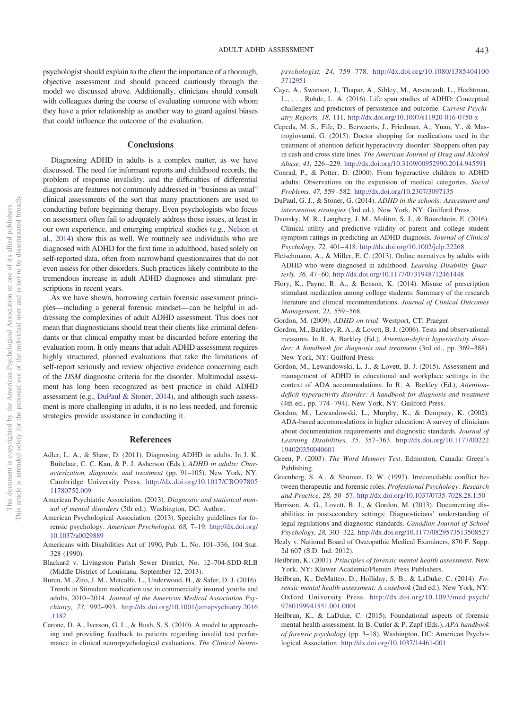psychologist should explain to the client the importance of a thorough, objective assessment and should proceed cautiously through the model we discussed above. Additionally, clinicians should consult with colleagues during the course of evaluating someone with whom they have a prior relationship as another way to guard against biases that could influence the outcome of the evaluation.

#### **Conclusions**

Diagnosing ADHD in adults is a complex matter, as we have discussed. The need for informant reports and childhood records, the problem of response invalidity, and the difficulties of differential diagnosis are features not commonly addressed in "business as usual" clinical assessments of the sort that many practitioners are used to conducting before beginning therapy. Even psychologists who focus on assessment often fail to adequately address those issues, at least in our own experience, and emerging empirical studies (e.g., [Nelson et](#page-6-4) [al., 2014\)](#page-6-4) show this as well. We routinely see individuals who are diagnosed with ADHD for the first time in adulthood, based solely on self-reported data, often from narrowband questionnaires that do not even assess for other disorders. Such practices likely contribute to the tremendous increase in adult ADHD diagnoses and stimulant prescriptions in recent years.

As we have shown, borrowing certain forensic assessment principles—including a general forensic mindset—can be helpful in addressing the complexities of adult ADHD assessment. This does not mean that diagnosticians should treat their clients like criminal defendants or that clinical empathy must be discarded before entering the evaluation room. It only means that adult ADHD assessment requires highly structured, planned evaluations that take the limitations of self-report seriously and review objective evidence concerning each of the *DSM* diagnostic criteria for the disorder. Multimodal assessment has long been recognized as best practice in child ADHD assessment (e.g., [DuPaul & Stoner, 2014\)](#page-5-24), and although such assessment is more challenging in adults, it is no less needed, and forensic strategies provide assistance in conducting it.

#### **References**

- <span id="page-5-3"></span>Adler, L. A., & Shaw, D. (2011). Diagnosing ADHD in adults. In J. K. Buitelaar, C. C. Kan, & P. J. Asherson (Eds.), *ADHD in adults: Characterization, diagnosis, and treatment* (pp. 91–105). New York, NY: Cambridge University Press. [http://dx.doi.org/10.1017/CBO97805](http://dx.doi.org/10.1017/CBO9780511780752.009) [11780752.009](http://dx.doi.org/10.1017/CBO9780511780752.009)
- <span id="page-5-2"></span>American Psychiatric Association. (2013). *Diagnostic and statistical manual of mental disorders* (5th ed.). Washington, DC: Author.
- <span id="page-5-7"></span>American Psychological Association. (2013). Specialty guidelines for forensic psychology. *American Psychologist, 68,* 7–19. [http://dx.doi.org/](http://dx.doi.org/10.1037/a0029889) [10.1037/a0029889](http://dx.doi.org/10.1037/a0029889)
- <span id="page-5-15"></span>Americans with Disabilities Act of 1990, Pub. L. No. 101–336, 104 Stat. 328 (1990).
- <span id="page-5-16"></span>Blackard v. Livingston Parish Sewer District, No. 12–704-SDD-RLB (Middle District of Louisiana, September 12, 2013).
- <span id="page-5-1"></span>Burcu, M., Zito, J. M., Metcalfe, L., Underwood, H., & Safer, D. J. (2016). Trends in Stimulant medication use in commercially insured youths and adults, 2010 –2014. *Journal of the American Medical Association Psychiatry, 73,* 992–993. [http://dx.doi.org/10.1001/jamapsychiatry.2016](http://dx.doi.org/10.1001/jamapsychiatry.2016.1182) [.1182](http://dx.doi.org/10.1001/jamapsychiatry.2016.1182)
- <span id="page-5-23"></span>Carone, D. A., Iverson, G. L., & Bush, S. S. (2010). A model to approaching and providing feedback to patients regarding invalid test performance in clinical neuropsychological evaluations. *The Clinical Neuro-*

*psychologist, 24,* 759 –778. [http://dx.doi.org/10.1080/1385404100](http://dx.doi.org/10.1080/13854041003712951) [3712951](http://dx.doi.org/10.1080/13854041003712951)

- <span id="page-5-9"></span>Caye, A., Swanson, J., Thapar, A., Sibley, M., Arseneault, L., Hechtman, L., . . . Rohde, L. A. (2016). Life span studies of ADHD: Conceptual challenges and predictors of persistence and outcome. *Current Psychiatry Reports, 18,* 111. <http://dx.doi.org/10.1007/s11920-016-0750-x>
- <span id="page-5-12"></span>Cepeda, M. S., Fife, D., Berwaerts, J., Friedman, A., Yuan, Y., & Mastrogiovanni, G. (2015). Doctor shopping for medications used in the treatment of attention deficit hyperactivity disorder: Shoppers often pay in cash and cross state lines. *The American Journal of Drug and Alcohol Abuse, 41,* 226 –229. <http://dx.doi.org/10.3109/00952990.2014.945591>
- <span id="page-5-0"></span>Conrad, P., & Potter, D. (2000). From hyperactive children to ADHD adults: Observations on the expansion of medical categories. *Social Problems, 47,* 559 –582. <http://dx.doi.org/10.2307/3097135>
- <span id="page-5-24"></span>DuPaul, G. J., & Stoner, G. (2014). *ADHD in the schools: Assessment and intervention strategies* (3rd ed.). New York, NY: Guilford Press.
- <span id="page-5-10"></span>Dvorsky, M. R., Langberg, J. M., Molitor, S. J., & Bourchtein, E. (2016). Clinical utility and predictive validity of parent and college student symptom ratings in predicting an ADHD diagnosis. *Journal of Clinical Psychology, 72,* 401– 418. <http://dx.doi.org/10.1002/jclp.22268>
- <span id="page-5-6"></span>Fleischmann, A., & Miller, E. C. (2013). Online narratives by adults with ADHD who were diagnosed in adulthood. *Learning Disability Quarterly, 36,* 47– 60. <http://dx.doi.org/10.1177/0731948712461448>
- <span id="page-5-4"></span>Flory, K., Payne, R. A., & Benson, K. (2014). Misuse of prescription stimulant medication among college students: Summary of the research literature and clinical recommendations. *Journal of Clinical Outcomes Management, 21,* 559 –568.
- <span id="page-5-20"></span>Gordon, M. (2009). *ADHD on trial*. Westport, CT: Praeger.
- <span id="page-5-21"></span>Gordon, M., Barkley, R. A., & Lovett, B. J. (2006). Tests and observational measures. In R. A. Barkley (Ed.), *Attention-deficit hyperactivity disorder: A handbook for diagnosis and treatment* (3rd ed., pp. 369 –388). New York, NY: Guilford Press.
- <span id="page-5-5"></span>Gordon, M., Lewandowski, L. J., & Lovett, B. J. (2015). Assessment and management of ADHD in educational and workplace settings in the context of ADA accommodations. In R. A. Barkley (Ed.), *Attentiondeficit hyperactivity disorder: A handbook for diagnosis and treatment* (4th ed., pp. 774 –794). New York, NY: Guilford Press.
- <span id="page-5-18"></span>Gordon, M., Lewandowski, L., Murphy, K., & Dempsey, K. (2002). ADA-based accommodations in higher education: A survey of clinicians about documentation requirements and diagnostic standards. *Journal of Learning Disabilities, 35,* 357–363. [http://dx.doi.org/10.1177/00222](http://dx.doi.org/10.1177/00222194020350040601) [194020350040601](http://dx.doi.org/10.1177/00222194020350040601)
- <span id="page-5-22"></span>Green, P. (2003). *The Word Memory Test*. Edmonton, Canada: Green's Publishing.
- <span id="page-5-8"></span>Greenberg, S. A., & Shuman, D. W. (1997). Irreconcilable conflict between therapeutic and forensic roles. *Professional Psychology: Research and Practice, 28,* 50 –57. <http://dx.doi.org/10.1037/0735-7028.28.1.50>
- <span id="page-5-19"></span>Harrison, A. G., Lovett, B. J., & Gordon, M. (2013). Documenting disabilities in postsecondary settings: Diagnosticians' understanding of legal regulations and diagnostic standards. *Canadian Journal of School Psychology, 28,* 303–322. <http://dx.doi.org/10.1177/0829573513508527>
- <span id="page-5-17"></span>Healy v. National Board of Osteopathic Medical Examiners, 870 F. Supp. 2d 607 (S.D. Ind. 2012).
- <span id="page-5-13"></span>Heilbrun, K. (2001). *Principles of forensic mental health assessment*. New York, NY: Kluwer Academic/Plenum Press Publishers.
- <span id="page-5-14"></span>Heilbrun, K., DeMatteo, D., Holliday, S. B., & LaDuke, C. (2014). *Forensic mental health assessment: A casebook* (2nd ed.). New York, NY: Oxford University Press. [http://dx.doi.org/10.1093/med:psych/](http://dx.doi.org/10.1093/med:psych/9780199941551.001.0001) [9780199941551.001.0001](http://dx.doi.org/10.1093/med:psych/9780199941551.001.0001)
- <span id="page-5-11"></span>Heilbrun, K., & LaDuke, C. (2015). Foundational aspects of forensic mental health assessment. In B. Cutler & P. Zapf (Eds.), *APA handbook of forensic psychology* (pp. 3–18). Washington, DC: American Psychological Association. <http://dx.doi.org/10.1037/14461-001>